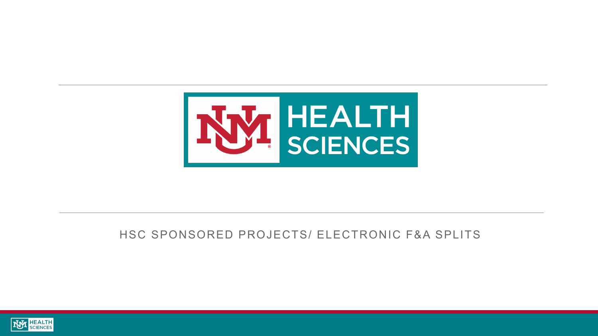

### HSC SPONSORED PROJECTS/ ELECTRONIC F&A SPLITS

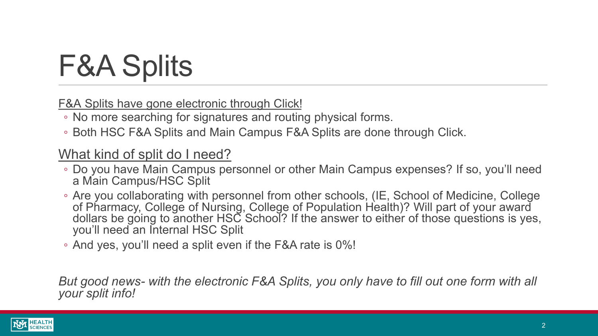# F&A Splits

F&A Splits have gone electronic through Click!

- No more searching for signatures and routing physical forms.
- Both HSC F&A Splits and Main Campus F&A Splits are done through Click.

### What kind of split do I need?

- Do you have Main Campus personnel or other Main Campus expenses? If so, you'll need a Main Campus/HSC Split
- Are you collaborating with personnel from other schools, (IE, School of Medicine, College of Pharmacy, College of Nursing, College of Population Health)? Will part of your award dollars be going to another HSC School? If the answer to either of those questions is yes, you'll need an Internal HSC Split
- And yes, you'll need a split even if the F&A rate is 0%!

*But good news- with the electronic F&A Splits, you only have to fill out one form with all your split info!*

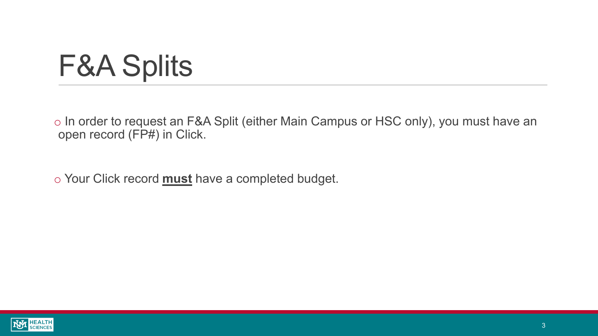# F&A Splits

o In order to request an F&A Split (either Main Campus or HSC only), you must have an open record (FP#) in Click.

o Your Click record **must** have a completed budget.

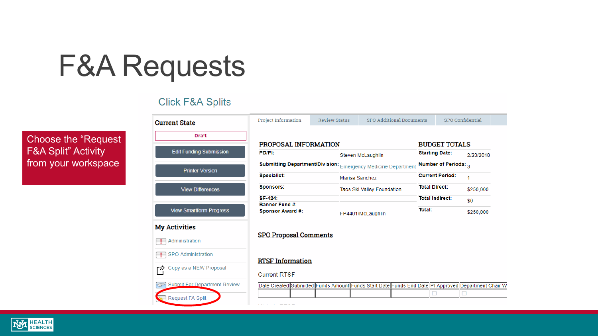### F&A Requests

#### **Click F&A Splits**

Choose the "Request F&A Split" Activity from your workspace

| <b>UIICK F&amp;A SPIIIS</b>              |                                                                                                    |  |                            |                          |  |                        |                        |                  |  |
|------------------------------------------|----------------------------------------------------------------------------------------------------|--|----------------------------|--------------------------|--|------------------------|------------------------|------------------|--|
| <b>Current State</b>                     | <b>Project Information</b><br><b>Review Status</b>                                                 |  |                            | SPO Additional Documents |  |                        |                        | SPO Confidential |  |
| <b>Draft</b>                             |                                                                                                    |  |                            |                          |  |                        |                        |                  |  |
|                                          | PROPOSAL INFORMATION                                                                               |  |                            |                          |  |                        | <b>BUDGET TOTALS</b>   |                  |  |
| <b>Edit Funding Submission</b>           | PD/PI:                                                                                             |  |                            | Steven McLaughlin        |  |                        | <b>Starting Date:</b>  | 2/23/2018        |  |
| <b>Printer Version</b>                   | Submitting Department/Division: Emergency Medicine Department                                      |  |                            |                          |  | Number of Periods: 3   |                        |                  |  |
|                                          | <b>Specialist:</b>                                                                                 |  | Marisa Sanchez             |                          |  | <b>Current Period:</b> |                        | 1                |  |
| <b>View Differences</b>                  | <b>Sponsors:</b>                                                                                   |  | Taos Ski Valley Foundation |                          |  | <b>Total Direct:</b>   |                        | \$250,000        |  |
|                                          | SF-424:                                                                                            |  |                            |                          |  |                        | <b>Total Indirect:</b> | \$0              |  |
|                                          | <b>Banner Fund #:</b>                                                                              |  |                            |                          |  |                        |                        |                  |  |
| <b>View Smartform Progress</b>           | <b>Sponsor Award #:</b>                                                                            |  |                            | FP4401/McLaughlin        |  | <b>Total:</b>          |                        | \$250,000        |  |
| <b>My Activities</b>                     |                                                                                                    |  |                            |                          |  |                        |                        |                  |  |
| Administration                           | <b>SPO Proposal Comments</b>                                                                       |  |                            |                          |  |                        |                        |                  |  |
| SPO Administration                       | <b>RTSF</b> Information                                                                            |  |                            |                          |  |                        |                        |                  |  |
| Copy as a NEW Proposal                   |                                                                                                    |  |                            |                          |  |                        |                        |                  |  |
| Г۲                                       | <b>Current RTSF</b>                                                                                |  |                            |                          |  |                        |                        |                  |  |
| <b>Submit For Department Review</b><br>G | Date Created Submitted Funds Amount Funds Start Date Funds End Date PI Approved Department Chair W |  |                            |                          |  |                        |                        |                  |  |
|                                          |                                                                                                    |  |                            |                          |  |                        |                        |                  |  |
| Request FA Split                         |                                                                                                    |  |                            |                          |  |                        |                        |                  |  |

ستستسلط المنادين والمنادي

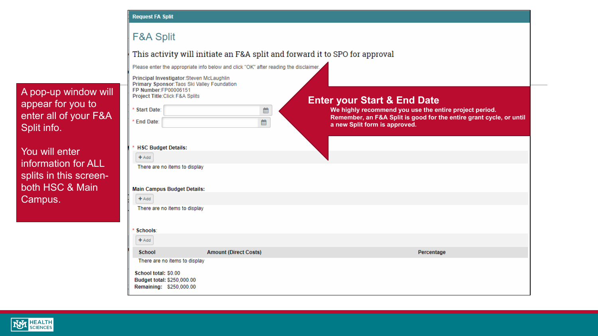#### **Request FA Split**

#### **F&A Split**

This activity will initiate an F&A split and forward it to SPO for approval

Please enter the appropriate info below and click "OK" after reading the disclaimer.

appear for you to enter all of your F&A You will enter

information for ALL splits in this screen both HSC & Main Campus.

Split info.

A pop -up window will

|                            | Principal Investigator:Steven McLaughlin<br>Primary Sponsor: Taos Ski Valley Foundation |                              |   |                                                                                                                               |
|----------------------------|-----------------------------------------------------------------------------------------|------------------------------|---|-------------------------------------------------------------------------------------------------------------------------------|
| FP Number:FP00006151       | Project Title: Click F&A Splits                                                         |                              |   | <b>Enter your Start &amp; End Date</b>                                                                                        |
| <b>Start Date:</b><br>×    |                                                                                         |                              | 雦 | We highly recommend you use the entire project period.<br>Remember, an F&A Split is good for the entire grant cycle, or until |
| <b>End Date:</b>           |                                                                                         |                              | 雦 | a new Split form is approved.                                                                                                 |
|                            |                                                                                         |                              |   |                                                                                                                               |
| <b>HSC Budget Details:</b> |                                                                                         |                              |   |                                                                                                                               |
| $+$ Add                    |                                                                                         |                              |   |                                                                                                                               |
|                            | There are no items to display                                                           |                              |   |                                                                                                                               |
|                            |                                                                                         |                              |   |                                                                                                                               |
|                            | <b>Main Campus Budget Details:</b>                                                      |                              |   |                                                                                                                               |
| $+$ Add                    |                                                                                         |                              |   |                                                                                                                               |
|                            | There are no items to display                                                           |                              |   |                                                                                                                               |
| Schools:                   |                                                                                         |                              |   |                                                                                                                               |
| $+$ Add                    |                                                                                         |                              |   |                                                                                                                               |
| <b>School</b>              |                                                                                         | <b>Amount (Direct Costs)</b> |   | Percentage                                                                                                                    |
|                            | There are no items to display                                                           |                              |   |                                                                                                                               |
| School total: \$0.00       | Budget total: \$250,000.00<br>Remaining: \$250,000.00                                   |                              |   |                                                                                                                               |

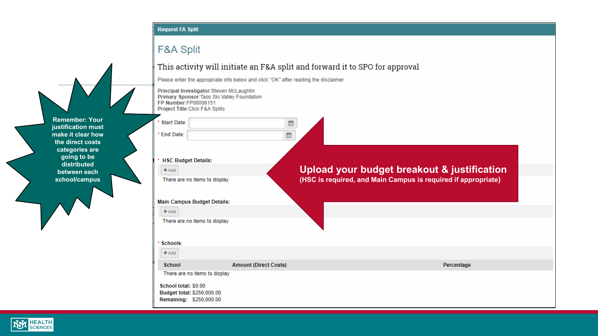#### Request FA Split

### **F&A Split**

#### **STEP AND STATE** contact: **Service**  $H = 1$ 3.2.4  $\mathbf{r}$  $1.24 - 1.1$  $\sim$   $\sim$   $\sim$

**Remember: Your justification must make it clear how the direct costs categories are going to be distributed between each school/campus**

| This activity will initiate an F&A split and forward it to SPO for approval                                                                        |                              |                                                               |  |  |  |  |
|----------------------------------------------------------------------------------------------------------------------------------------------------|------------------------------|---------------------------------------------------------------|--|--|--|--|
| Please enter the appropriate info below and click "OK" after reading the disclaimer.                                                               |                              |                                                               |  |  |  |  |
| Principal Investigator:Steven McLaughlin<br>Primary Sponsor: Taos Ski Valley Foundation<br>FP Number:FP00006151<br>Project Title: Click F&A Splits |                              |                                                               |  |  |  |  |
| * Start Date:                                                                                                                                      | 雦                            |                                                               |  |  |  |  |
| * End Date:                                                                                                                                        | 雦                            |                                                               |  |  |  |  |
| * HSC Budget Details:                                                                                                                              |                              |                                                               |  |  |  |  |
| $+Add$                                                                                                                                             |                              | Upload your budget breakout & justification                   |  |  |  |  |
| There are no items to display                                                                                                                      |                              | (HSC is required, and Main Campus is required if appropriate) |  |  |  |  |
| <b>Main Campus Budget Details:</b>                                                                                                                 |                              |                                                               |  |  |  |  |
| $+$ Add                                                                                                                                            |                              |                                                               |  |  |  |  |
| There are no items to display                                                                                                                      |                              |                                                               |  |  |  |  |
| Schools:                                                                                                                                           |                              |                                                               |  |  |  |  |
| $+Add$                                                                                                                                             |                              |                                                               |  |  |  |  |
| School                                                                                                                                             | <b>Amount (Direct Costs)</b> | Percentage                                                    |  |  |  |  |
| There are no items to display                                                                                                                      |                              |                                                               |  |  |  |  |
| School total: \$0.00<br>Budget total: \$250,000.00<br>Remaining: \$250,000.00                                                                      |                              |                                                               |  |  |  |  |

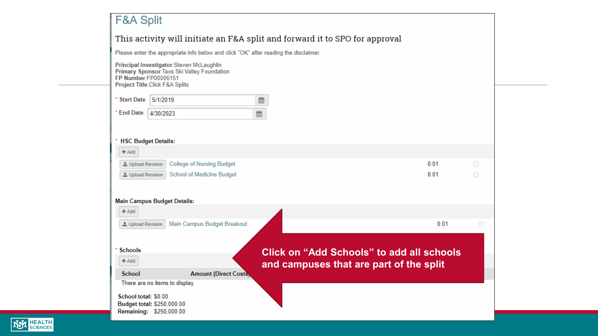| This activity will initiate an F&A split and forward it to SPO for approval<br>Please enter the appropriate info below and click "OK" after reading the disclaimer.<br>Principal Investigator:Steven McLaughlin<br>Primary Sponsor: Taos Ski Valley Foundation<br>FP Number:FP00006151<br>Project Title: Click F&A Splits<br>* Start Date: 5/1/2019<br>雦<br>* End Date: 4/30/2023<br>雦<br><b>HSC Budget Details:</b> |      |         |
|----------------------------------------------------------------------------------------------------------------------------------------------------------------------------------------------------------------------------------------------------------------------------------------------------------------------------------------------------------------------------------------------------------------------|------|---------|
|                                                                                                                                                                                                                                                                                                                                                                                                                      |      |         |
|                                                                                                                                                                                                                                                                                                                                                                                                                      |      |         |
|                                                                                                                                                                                                                                                                                                                                                                                                                      |      |         |
|                                                                                                                                                                                                                                                                                                                                                                                                                      |      |         |
|                                                                                                                                                                                                                                                                                                                                                                                                                      |      |         |
| <b>School of Medicine Budget</b><br>L Upload Revision<br><b>Main Campus Budget Details:</b><br>$+$ Add                                                                                                                                                                                                                                                                                                               | 0.01 | $\odot$ |
| Main Campus Budget Breakout<br>L Upload Revision                                                                                                                                                                                                                                                                                                                                                                     | 0.01 | ø       |
| Schools:<br><b>Click on "Add Schools" to add all schools</b>                                                                                                                                                                                                                                                                                                                                                         |      |         |
| $+$ Add<br>and campuses that are part of the split                                                                                                                                                                                                                                                                                                                                                                   |      |         |
| <b>School</b><br><b>Amount (Direct Costs)</b><br>There are no items to display                                                                                                                                                                                                                                                                                                                                       |      |         |
| School total: \$0.00                                                                                                                                                                                                                                                                                                                                                                                                 |      |         |
| Budget total: \$250,000.00<br>Remaining: \$250,000.00                                                                                                                                                                                                                                                                                                                                                                |      |         |

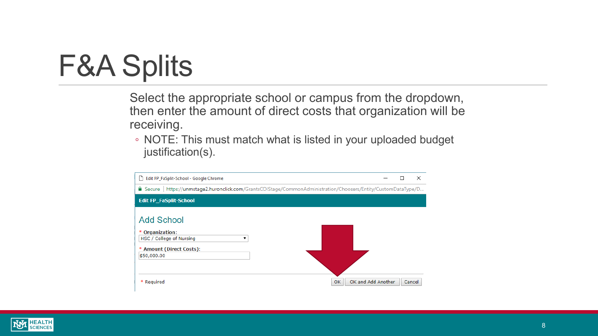### F&A Splits

Select the appropriate school or campus from the dropdown, then enter the amount of direct costs that organization will be receiving.

◦ NOTE: This must match what is listed in your uploaded budget justification(s).



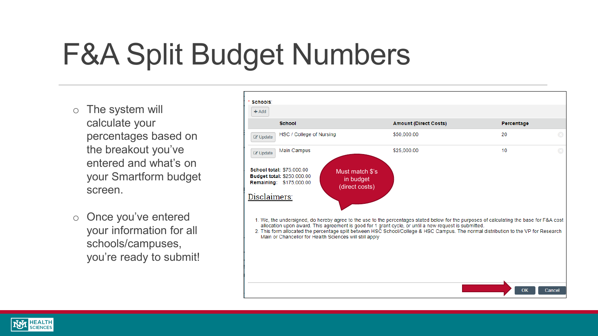# F&A Split Budget Numbers

- o The system will calculate your percentages based on the breakout you've entered and what's on your Smartform budget screen.
- o Once you've entered your information for all schools/campuses, you're ready to submit!